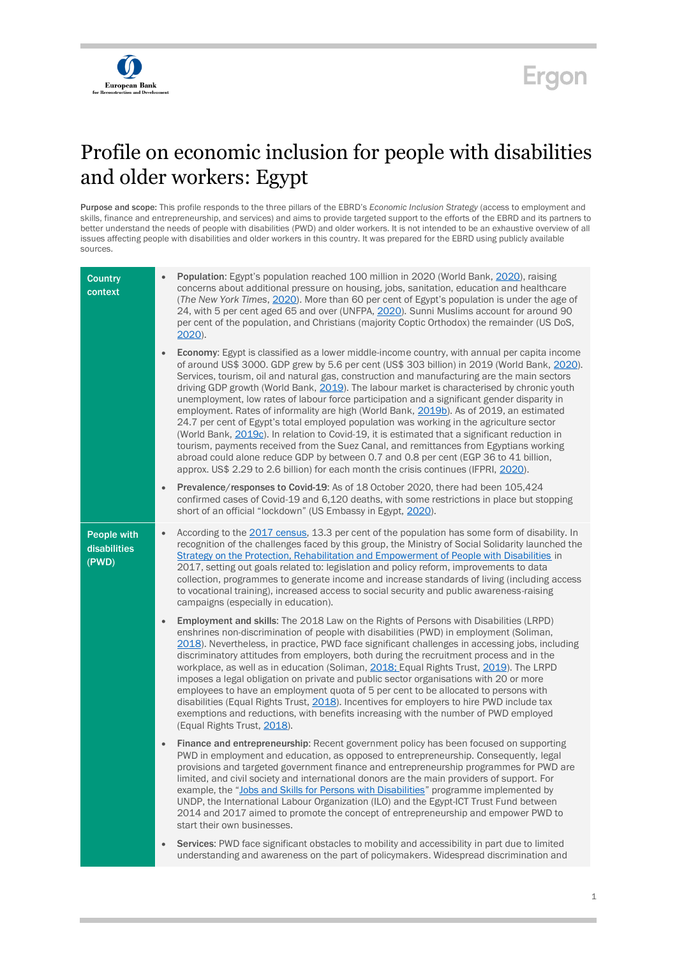



## Profile on economic inclusion for people with disabilities and older workers: Egypt

Purpose and scope: This profile responds to the three pillars of the EBRD's *Economic Inclusion Strategy* (access to employment and skills, finance and entrepreneurship, and services) and aims to provide targeted support to the efforts of the EBRD and its partners to better understand the needs of people with disabilities (PWD) and older workers. It is not intended to be an exhaustive overview of all issues affecting people with disabilities and older workers in this country. It was prepared for the EBRD using publicly available sources.

| <b>Country</b><br>context                   | <b>Population:</b> Egypt's population reached 100 million in 2020 (World Bank, 2020), raising<br>concerns about additional pressure on housing, jobs, sanitation, education and healthcare<br>(The New York Times, 2020). More than 60 per cent of Egypt's population is under the age of<br>24, with 5 per cent aged 65 and over (UNFPA, 2020). Sunni Muslims account for around 90<br>per cent of the population, and Christians (majority Coptic Orthodox) the remainder (US DoS,<br>$2020$ ).                                                                                                                                                                                                                                                                                                                                                                                                                                                                                                                                                          |
|---------------------------------------------|------------------------------------------------------------------------------------------------------------------------------------------------------------------------------------------------------------------------------------------------------------------------------------------------------------------------------------------------------------------------------------------------------------------------------------------------------------------------------------------------------------------------------------------------------------------------------------------------------------------------------------------------------------------------------------------------------------------------------------------------------------------------------------------------------------------------------------------------------------------------------------------------------------------------------------------------------------------------------------------------------------------------------------------------------------|
|                                             | Economy: Egypt is classified as a lower middle-income country, with annual per capita income<br>of around US\$ 3000. GDP grew by 5.6 per cent (US\$ 303 billion) in 2019 (World Bank, 2020).<br>Services, tourism, oil and natural gas, construction and manufacturing are the main sectors<br>driving GDP growth (World Bank, 2019). The labour market is characterised by chronic youth<br>unemployment, low rates of labour force participation and a significant gender disparity in<br>employment. Rates of informality are high (World Bank, 2019b). As of 2019, an estimated<br>24.7 per cent of Egypt's total employed population was working in the agriculture sector<br>(World Bank, 2019c). In relation to Covid-19, it is estimated that a significant reduction in<br>tourism, payments received from the Suez Canal, and remittances from Egyptians working<br>abroad could alone reduce GDP by between 0.7 and 0.8 per cent (EGP 36 to 41 billion,<br>approx. US\$ 2.29 to 2.6 billion) for each month the crisis continues (IFPRI, 2020). |
|                                             | Prevalence/responses to Covid-19: As of 18 October 2020, there had been 105,424<br>$\bullet$<br>confirmed cases of Covid-19 and 6,120 deaths, with some restrictions in place but stopping<br>short of an official "lockdown" (US Embassy in Egypt, 2020).                                                                                                                                                                                                                                                                                                                                                                                                                                                                                                                                                                                                                                                                                                                                                                                                 |
| <b>People with</b><br>disabilities<br>(PWD) | According to the 2017 census, 13.3 per cent of the population has some form of disability. In<br>$\bullet$<br>recognition of the challenges faced by this group, the Ministry of Social Solidarity launched the<br>Strategy on the Protection, Rehabilitation and Empowerment of People with Disabilities in<br>2017, setting out goals related to: legislation and policy reform, improvements to data<br>collection, programmes to generate income and increase standards of living (including access<br>to vocational training), increased access to social security and public awareness-raising<br>campaigns (especially in education).                                                                                                                                                                                                                                                                                                                                                                                                               |
|                                             | <b>Employment and skills:</b> The 2018 Law on the Rights of Persons with Disabilities (LRPD)<br>$\bullet$<br>enshrines non-discrimination of people with disabilities (PWD) in employment (Soliman,<br>2018). Nevertheless, in practice, PWD face significant challenges in accessing jobs, including<br>discriminatory attitudes from employers, both during the recruitment process and in the<br>workplace, as well as in education (Soliman, 2018; Equal Rights Trust, 2019). The LRPD<br>imposes a legal obligation on private and public sector organisations with 20 or more<br>employees to have an employment quota of 5 per cent to be allocated to persons with<br>disabilities (Equal Rights Trust, 2018). Incentives for employers to hire PWD include tax<br>exemptions and reductions, with benefits increasing with the number of PWD employed<br>(Equal Rights Trust, 2018).                                                                                                                                                              |
|                                             | Finance and entrepreneurship: Recent government policy has been focused on supporting<br>$\bullet$<br>PWD in employment and education, as opposed to entrepreneurship. Consequently, legal<br>provisions and targeted government finance and entrepreneurship programmes for PWD are<br>limited, and civil society and international donors are the main providers of support. For<br>example, the "Jobs and Skills for Persons with Disabilities" programme implemented by<br>UNDP, the International Labour Organization (ILO) and the Egypt-ICT Trust Fund between<br>2014 and 2017 aimed to promote the concept of entrepreneurship and empower PWD to<br>start their own businesses.                                                                                                                                                                                                                                                                                                                                                                  |
|                                             | Services: PWD face significant obstacles to mobility and accessibility in part due to limited<br>understanding and awareness on the part of policymakers. Widespread discrimination and                                                                                                                                                                                                                                                                                                                                                                                                                                                                                                                                                                                                                                                                                                                                                                                                                                                                    |